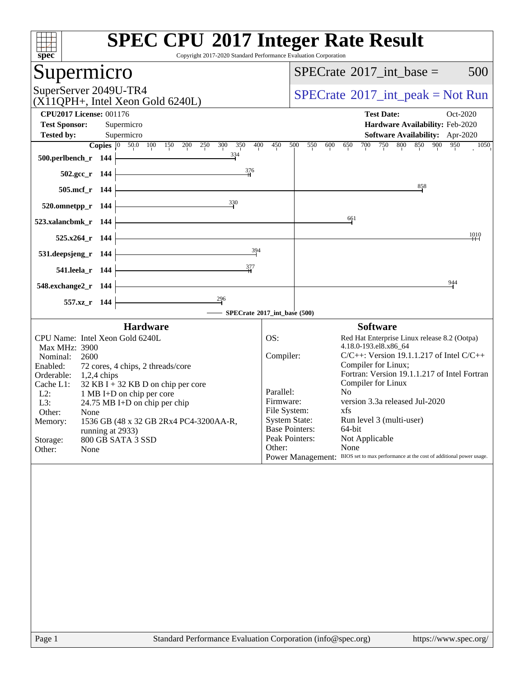| spec                                                                                     | <b>SPEC CPU®2017 Integer Rate Result</b><br>Copyright 2017-2020 Standard Performance Evaluation Corporation |
|------------------------------------------------------------------------------------------|-------------------------------------------------------------------------------------------------------------|
| Supermicro                                                                               | 500<br>$SPECrate^{\circledast}2017\_int\_base =$                                                            |
| SuperServer 2049U-TR4<br>(X11QPH+, Intel Xeon Gold 6240L)                                | $SPECrate^{\circledast}2017\_int\_peak = Not Run$                                                           |
| <b>CPU2017 License: 001176</b>                                                           | <b>Test Date:</b><br>Oct-2020                                                                               |
| <b>Test Sponsor:</b><br>Supermicro                                                       | Hardware Availability: Feb-2020                                                                             |
| <b>Tested by:</b><br>Supermicro                                                          | Software Availability: Apr-2020                                                                             |
| Copies $ 0\rangle$<br>50.0 100<br>150<br>200<br>250<br>300<br>350                        | 800<br>400<br>450<br>500<br>550<br>600<br>700<br>750<br>850<br>900<br>950<br>650<br>1050                    |
| 334<br>500.perlbench_r 144                                                               |                                                                                                             |
| $\frac{376}{4}$<br>$502.\text{gcc}_r$ 144                                                |                                                                                                             |
| 505.mcf_r 144                                                                            | $\frac{858}{3}$                                                                                             |
| 330<br>520.omnetpp_r 144                                                                 |                                                                                                             |
| 523.xalancbmk_r 144                                                                      | 661                                                                                                         |
| 525.x264 r 144                                                                           | 1010                                                                                                        |
| 394<br>531.deepsjeng_r 144                                                               |                                                                                                             |
| 377<br>541.leela_r 144                                                                   |                                                                                                             |
| 548.exchange2_r 144                                                                      | 944                                                                                                         |
| 296<br>557.xz_r 144                                                                      |                                                                                                             |
|                                                                                          | SPECrate®2017_int_base (500)                                                                                |
| <b>Hardware</b>                                                                          | <b>Software</b>                                                                                             |
| CPU Name: Intel Xeon Gold 6240L                                                          | OS:<br>Red Hat Enterprise Linux release 8.2 (Ootpa)<br>4.18.0-193.el8.x86_64                                |
| Max MHz: 3900<br>Nominal:<br>2600                                                        | $C/C++$ : Version 19.1.1.217 of Intel $C/C++$<br>Compiler:                                                  |
| Enabled:<br>72 cores, 4 chips, 2 threads/core                                            | Compiler for Linux;                                                                                         |
| Orderable:<br>$1,2,4$ chips                                                              | Fortran: Version 19.1.1.217 of Intel Fortran                                                                |
| Cache L1:<br>$32$ KB I + 32 KB D on chip per core<br>$L2$ :<br>1 MB I+D on chip per core | Compiler for Linux<br>Parallel:<br>No                                                                       |
| L3:<br>24.75 MB I+D on chip per chip                                                     | version 3.3a released Jul-2020<br>Firmware:                                                                 |
| Other:<br>None                                                                           | File System:<br>xfs.                                                                                        |
| 1536 GB (48 x 32 GB 2Rx4 PC4-3200AA-R,<br>Memory:                                        | <b>System State:</b><br>Run level 3 (multi-user)                                                            |
| running at 2933)<br>800 GB SATA 3 SSD<br>Storage:                                        | <b>Base Pointers:</b><br>64-bit<br>Peak Pointers:<br>Not Applicable                                         |
| None<br>Other:                                                                           | Other:<br>None                                                                                              |
|                                                                                          | Power Management: BIOS set to max performance at the cost of additional power usage.                        |
|                                                                                          |                                                                                                             |
|                                                                                          |                                                                                                             |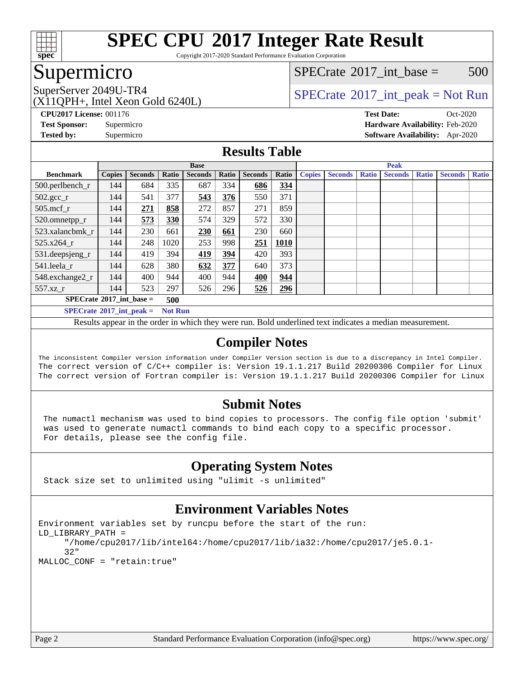

Copyright 2017-2020 Standard Performance Evaluation Corporation

## Supermicro

 $SPECTate^{\circledcirc}2017$  int base = 500

(X11QPH+, Intel Xeon Gold 6240L)

SuperServer 2049U-TR4  $SPECrate^{\circ}2017$  $SPECrate^{\circ}2017$ \_int\_peak = Not Run

**[CPU2017 License:](http://www.spec.org/auto/cpu2017/Docs/result-fields.html#CPU2017License)** 001176 **[Test Date:](http://www.spec.org/auto/cpu2017/Docs/result-fields.html#TestDate)** Oct-2020 **[Test Sponsor:](http://www.spec.org/auto/cpu2017/Docs/result-fields.html#TestSponsor)** Supermicro **[Hardware Availability:](http://www.spec.org/auto/cpu2017/Docs/result-fields.html#HardwareAvailability)** Feb-2020 **[Tested by:](http://www.spec.org/auto/cpu2017/Docs/result-fields.html#Testedby)** Supermicro **[Software Availability:](http://www.spec.org/auto/cpu2017/Docs/result-fields.html#SoftwareAvailability)** Apr-2020

### **[Results Table](http://www.spec.org/auto/cpu2017/Docs/result-fields.html#ResultsTable)**

|                                                 | <b>Base</b>   |                |       |                |       | <b>Peak</b>    |             |               |                |              |                |              |                |              |
|-------------------------------------------------|---------------|----------------|-------|----------------|-------|----------------|-------------|---------------|----------------|--------------|----------------|--------------|----------------|--------------|
| <b>Benchmark</b>                                | <b>Copies</b> | <b>Seconds</b> | Ratio | <b>Seconds</b> | Ratio | <b>Seconds</b> | Ratio       | <b>Copies</b> | <b>Seconds</b> | <b>Ratio</b> | <b>Seconds</b> | <b>Ratio</b> | <b>Seconds</b> | <b>Ratio</b> |
| 500.perlbench_r                                 | 144           | 684            | 335   | 687            | 334   | 686            | 334         |               |                |              |                |              |                |              |
| $502.\text{gcc\_r}$                             | 144           | 541            | 377   | 543            | 376   | 550            | 371         |               |                |              |                |              |                |              |
| $505$ .mcf r                                    | 144           | 271            | 858   | 272            | 857   | 271            | 859         |               |                |              |                |              |                |              |
| 520.omnetpp_r                                   | 144           | 573            | 330   | 574            | 329   | 572            | 330         |               |                |              |                |              |                |              |
| 523.xalancbmk r                                 | 144           | 230            | 661   | 230            | 661   | 230            | 660         |               |                |              |                |              |                |              |
| 525.x264 r                                      | 144           | 248            | 1020  | 253            | 998   | 251            | <b>1010</b> |               |                |              |                |              |                |              |
| 531.deepsjeng_r                                 | 144           | 419            | 394   | 419            | 394   | 420            | 393         |               |                |              |                |              |                |              |
| 541.leela_r                                     | 144           | 628            | 380   | 632            | 377   | 640            | 373         |               |                |              |                |              |                |              |
| 548.exchange2_r                                 | 144           | 400            | 944   | 400            | 944   | 400            | 944         |               |                |              |                |              |                |              |
| 557.xz r                                        | 144           | 523            | 297   | 526            | 296   | 526            | 296         |               |                |              |                |              |                |              |
| $SPECrate^{\circ}2017$ int base =<br>500        |               |                |       |                |       |                |             |               |                |              |                |              |                |              |
| $SPECrate^*2017\_int\_peak =$<br><b>Not Run</b> |               |                |       |                |       |                |             |               |                |              |                |              |                |              |

Results appear in the [order in which they were run](http://www.spec.org/auto/cpu2017/Docs/result-fields.html#RunOrder). Bold underlined text [indicates a median measurement](http://www.spec.org/auto/cpu2017/Docs/result-fields.html#Median).

### **[Compiler Notes](http://www.spec.org/auto/cpu2017/Docs/result-fields.html#CompilerNotes)**

The inconsistent Compiler version information under Compiler Version section is due to a discrepancy in Intel Compiler. The correct version of C/C++ compiler is: Version 19.1.1.217 Build 20200306 Compiler for Linux The correct version of Fortran compiler is: Version 19.1.1.217 Build 20200306 Compiler for Linux

### **[Submit Notes](http://www.spec.org/auto/cpu2017/Docs/result-fields.html#SubmitNotes)**

 The numactl mechanism was used to bind copies to processors. The config file option 'submit' was used to generate numactl commands to bind each copy to a specific processor. For details, please see the config file.

### **[Operating System Notes](http://www.spec.org/auto/cpu2017/Docs/result-fields.html#OperatingSystemNotes)**

Stack size set to unlimited using "ulimit -s unlimited"

### **[Environment Variables Notes](http://www.spec.org/auto/cpu2017/Docs/result-fields.html#EnvironmentVariablesNotes)**

Environment variables set by runcpu before the start of the run: LD\_LIBRARY\_PATH = "/home/cpu2017/lib/intel64:/home/cpu2017/lib/ia32:/home/cpu2017/je5.0.1- 32" MALLOC\_CONF = "retain:true"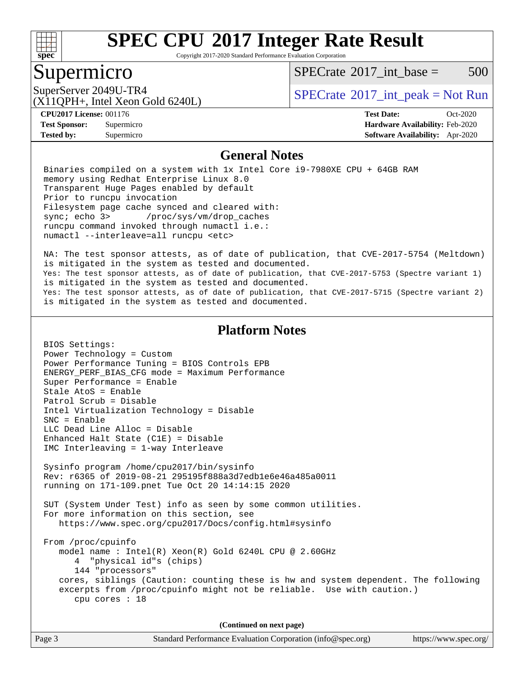

Copyright 2017-2020 Standard Performance Evaluation Corporation

### Supermicro

 $SPECTate^{\circledcirc}2017$  int base = 500

(X11QPH+, Intel Xeon Gold 6240L)

SuperServer 2049U-TR4  $SPECrate^{\circ}2017$  $SPECrate^{\circ}2017$ \_int\_peak = Not Run

**[Tested by:](http://www.spec.org/auto/cpu2017/Docs/result-fields.html#Testedby)** Supermicro **[Software Availability:](http://www.spec.org/auto/cpu2017/Docs/result-fields.html#SoftwareAvailability)** Apr-2020

**[CPU2017 License:](http://www.spec.org/auto/cpu2017/Docs/result-fields.html#CPU2017License)** 001176 **[Test Date:](http://www.spec.org/auto/cpu2017/Docs/result-fields.html#TestDate)** Oct-2020 **[Test Sponsor:](http://www.spec.org/auto/cpu2017/Docs/result-fields.html#TestSponsor)** Supermicro **[Hardware Availability:](http://www.spec.org/auto/cpu2017/Docs/result-fields.html#HardwareAvailability)** Feb-2020

#### **[General Notes](http://www.spec.org/auto/cpu2017/Docs/result-fields.html#GeneralNotes)**

 Binaries compiled on a system with 1x Intel Core i9-7980XE CPU + 64GB RAM memory using Redhat Enterprise Linux 8.0 Transparent Huge Pages enabled by default Prior to runcpu invocation Filesystem page cache synced and cleared with: sync; echo 3> /proc/sys/vm/drop\_caches runcpu command invoked through numactl i.e.: numactl --interleave=all runcpu <etc>

 NA: The test sponsor attests, as of date of publication, that CVE-2017-5754 (Meltdown) is mitigated in the system as tested and documented. Yes: The test sponsor attests, as of date of publication, that CVE-2017-5753 (Spectre variant 1) is mitigated in the system as tested and documented. Yes: The test sponsor attests, as of date of publication, that CVE-2017-5715 (Spectre variant 2) is mitigated in the system as tested and documented.

### **[Platform Notes](http://www.spec.org/auto/cpu2017/Docs/result-fields.html#PlatformNotes)**

 BIOS Settings: Power Technology = Custom Power Performance Tuning = BIOS Controls EPB ENERGY\_PERF\_BIAS\_CFG mode = Maximum Performance Super Performance = Enable Stale AtoS = Enable Patrol Scrub = Disable Intel Virtualization Technology = Disable SNC = Enable LLC Dead Line Alloc = Disable Enhanced Halt State (C1E) = Disable IMC Interleaving = 1-way Interleave Sysinfo program /home/cpu2017/bin/sysinfo Rev: r6365 of 2019-08-21 295195f888a3d7edb1e6e46a485a0011 running on 171-109.pnet Tue Oct 20 14:14:15 2020 SUT (System Under Test) info as seen by some common utilities. For more information on this section, see <https://www.spec.org/cpu2017/Docs/config.html#sysinfo> From /proc/cpuinfo model name : Intel(R) Xeon(R) Gold 6240L CPU @ 2.60GHz 4 "physical id"s (chips) 144 "processors" cores, siblings (Caution: counting these is hw and system dependent. The following excerpts from /proc/cpuinfo might not be reliable. Use with caution.) cpu cores : 18

**(Continued on next page)**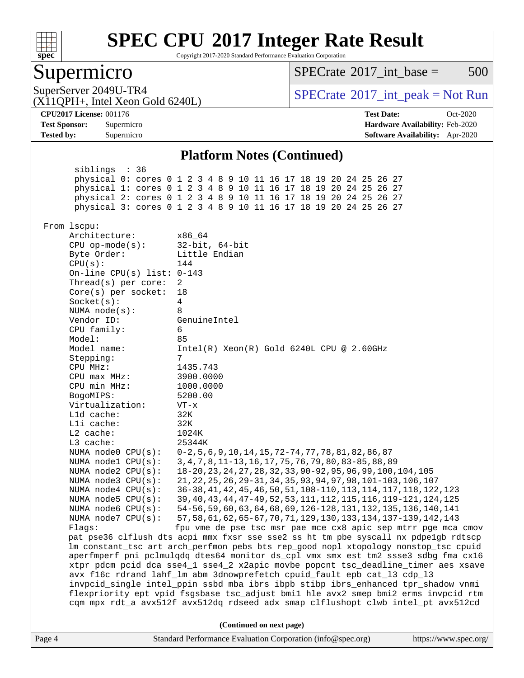

Copyright 2017-2020 Standard Performance Evaluation Corporation

### Supermicro

 $SPECTate^{\circledcirc}2017$  int base = 500

(X11QPH+, Intel Xeon Gold 6240L)

SuperServer 2049U-TR4  $SPECrate^{\circ}2017$  $SPECrate^{\circ}2017$ \_int\_peak = Not Run

**[Tested by:](http://www.spec.org/auto/cpu2017/Docs/result-fields.html#Testedby)** Supermicro **[Software Availability:](http://www.spec.org/auto/cpu2017/Docs/result-fields.html#SoftwareAvailability)** Apr-2020

**[CPU2017 License:](http://www.spec.org/auto/cpu2017/Docs/result-fields.html#CPU2017License)** 001176 **[Test Date:](http://www.spec.org/auto/cpu2017/Docs/result-fields.html#TestDate)** Oct-2020 **[Test Sponsor:](http://www.spec.org/auto/cpu2017/Docs/result-fields.html#TestSponsor)** Supermicro **[Hardware Availability:](http://www.spec.org/auto/cpu2017/Docs/result-fields.html#HardwareAvailability)** Feb-2020

### **[Platform Notes \(Continued\)](http://www.spec.org/auto/cpu2017/Docs/result-fields.html#PlatformNotes)**

Page 4 Standard Performance Evaluation Corporation [\(info@spec.org\)](mailto:info@spec.org) <https://www.spec.org/> siblings : 36 physical 0: cores 0 1 2 3 4 8 9 10 11 16 17 18 19 20 24 25 26 27 physical 1: cores 0 1 2 3 4 8 9 10 11 16 17 18 19 20 24 25 26 27 physical 2: cores 0 1 2 3 4 8 9 10 11 16 17 18 19 20 24 25 26 27 physical 3: cores 0 1 2 3 4 8 9 10 11 16 17 18 19 20 24 25 26 27 From lscpu: Architecture: x86\_64 CPU op-mode(s): 32-bit, 64-bit Byte Order: Little Endian  $CPU(s):$  144 On-line CPU(s) list: 0-143 Thread(s) per core: 2 Core(s) per socket: 18 Socket(s): 4 NUMA node(s): 8 Vendor ID: GenuineIntel CPU family: 6 Model: 85<br>Model name: 1n Intel(R) Xeon(R) Gold 6240L CPU @ 2.60GHz Stepping: 7 CPU MHz: 1435.743 CPU max MHz: 3900.0000 CPU min MHz: 1000.0000 BogoMIPS: 5200.00 Virtualization: VT-x L1d cache: 32K L1i cache: 32K L2 cache: 1024K L3 cache: 25344K NUMA node0 CPU(s): 0-2,5,6,9,10,14,15,72-74,77,78,81,82,86,87 NUMA node1 CPU(s): 3,4,7,8,11-13,16,17,75,76,79,80,83-85,88,89 NUMA node2 CPU(s): 18-20,23,24,27,28,32,33,90-92,95,96,99,100,104,105 NUMA node3 CPU(s): 21,22,25,26,29-31,34,35,93,94,97,98,101-103,106,107 NUMA node4 CPU(s): 36-38,41,42,45,46,50,51,108-110,113,114,117,118,122,123 NUMA node5 CPU(s): 39,40,43,44,47-49,52,53,111,112,115,116,119-121,124,125 NUMA node6 CPU(s): 54-56,59,60,63,64,68,69,126-128,131,132,135,136,140,141 NUMA node7 CPU(s): 57,58,61,62,65-67,70,71,129,130,133,134,137-139,142,143 Flags: fpu vme de pse tsc msr pae mce cx8 apic sep mtrr pge mca cmov pat pse36 clflush dts acpi mmx fxsr sse sse2 ss ht tm pbe syscall nx pdpe1gb rdtscp lm constant\_tsc art arch\_perfmon pebs bts rep\_good nopl xtopology nonstop\_tsc cpuid aperfmperf pni pclmulqdq dtes64 monitor ds\_cpl vmx smx est tm2 ssse3 sdbg fma cx16 xtpr pdcm pcid dca sse4\_1 sse4\_2 x2apic movbe popcnt tsc\_deadline\_timer aes xsave avx f16c rdrand lahf\_lm abm 3dnowprefetch cpuid\_fault epb cat\_l3 cdp\_l3 invpcid\_single intel\_ppin ssbd mba ibrs ibpb stibp ibrs\_enhanced tpr\_shadow vnmi flexpriority ept vpid fsgsbase tsc\_adjust bmi1 hle avx2 smep bmi2 erms invpcid rtm cqm mpx rdt\_a avx512f avx512dq rdseed adx smap clflushopt clwb intel\_pt avx512cd **(Continued on next page)**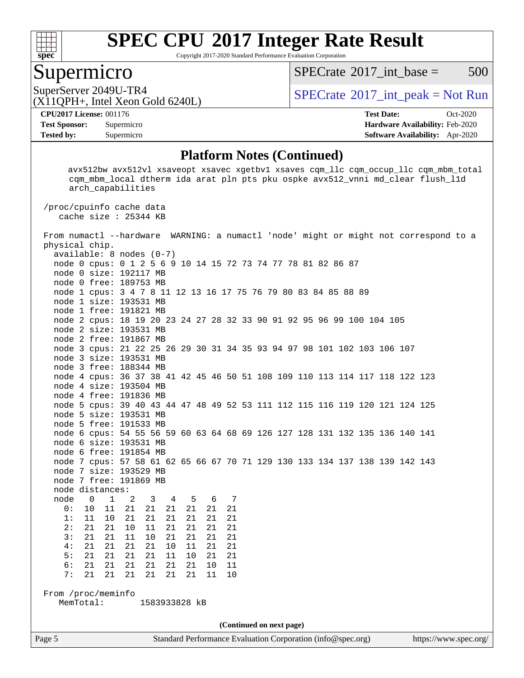

Copyright 2017-2020 Standard Performance Evaluation Corporation

### Supermicro

 $SPECTate^{\circledcirc}2017$  int base = 500

(X11QPH+, Intel Xeon Gold 6240L)

SuperServer 2049U-TR4  $SPECrate^{\circ}2017$  $SPECrate^{\circ}2017$ \_int\_peak = Not Run

**[Tested by:](http://www.spec.org/auto/cpu2017/Docs/result-fields.html#Testedby)** Supermicro **[Software Availability:](http://www.spec.org/auto/cpu2017/Docs/result-fields.html#SoftwareAvailability)** Apr-2020

**[CPU2017 License:](http://www.spec.org/auto/cpu2017/Docs/result-fields.html#CPU2017License)** 001176 **[Test Date:](http://www.spec.org/auto/cpu2017/Docs/result-fields.html#TestDate)** Oct-2020 **[Test Sponsor:](http://www.spec.org/auto/cpu2017/Docs/result-fields.html#TestSponsor)** Supermicro **[Hardware Availability:](http://www.spec.org/auto/cpu2017/Docs/result-fields.html#HardwareAvailability)** Feb-2020

#### **[Platform Notes \(Continued\)](http://www.spec.org/auto/cpu2017/Docs/result-fields.html#PlatformNotes)**

 avx512bw avx512vl xsaveopt xsavec xgetbv1 xsaves cqm\_llc cqm\_occup\_llc cqm\_mbm\_total cqm\_mbm\_local dtherm ida arat pln pts pku ospke avx512\_vnni md\_clear flush\_l1d arch\_capabilities

 /proc/cpuinfo cache data cache size : 25344 KB

Page 5 Standard Performance Evaluation Corporation [\(info@spec.org\)](mailto:info@spec.org) <https://www.spec.org/> From numactl --hardware WARNING: a numactl 'node' might or might not correspond to a physical chip. available: 8 nodes (0-7) node 0 cpus: 0 1 2 5 6 9 10 14 15 72 73 74 77 78 81 82 86 87 node 0 size: 192117 MB node 0 free: 189753 MB node 1 cpus: 3 4 7 8 11 12 13 16 17 75 76 79 80 83 84 85 88 89 node 1 size: 193531 MB node 1 free: 191821 MB node 2 cpus: 18 19 20 23 24 27 28 32 33 90 91 92 95 96 99 100 104 105 node 2 size: 193531 MB node 2 free: 191867 MB node 3 cpus: 21 22 25 26 29 30 31 34 35 93 94 97 98 101 102 103 106 107 node 3 size: 193531 MB node 3 free: 188344 MB node 4 cpus: 36 37 38 41 42 45 46 50 51 108 109 110 113 114 117 118 122 123 node 4 size: 193504 MB node 4 free: 191836 MB node 5 cpus: 39 40 43 44 47 48 49 52 53 111 112 115 116 119 120 121 124 125 node 5 size: 193531 MB node 5 free: 191533 MB node 6 cpus: 54 55 56 59 60 63 64 68 69 126 127 128 131 132 135 136 140 141 node 6 size: 193531 MB node 6 free: 191854 MB node 7 cpus: 57 58 61 62 65 66 67 70 71 129 130 133 134 137 138 139 142 143 node 7 size: 193529 MB node 7 free: 191869 MB node distances: node 0 1 2 3 4 5 6 7 0: 10 11 21 21 21 21 21 21 1: 11 10 21 21 21 21 21 21 2: 21 21 10 11 21 21 21 21 3: 21 21 11 10 21 21 21 21  $4: 21 21$  5: 21 21 21 21 11 10 21 21 6: 21 21 21 21 21 21 10 11 7: 21 21 21 21 21 21 11 10 From /proc/meminfo MemTotal: 1583933828 kB **(Continued on next page)**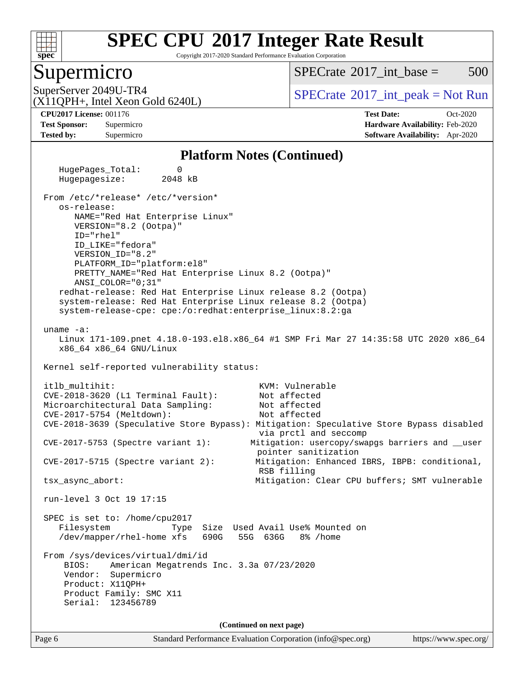

Copyright 2017-2020 Standard Performance Evaluation Corporation

### Supermicro

 $SPECTate^{\circledcirc}2017$  int base = 500

(X11QPH+, Intel Xeon Gold 6240L)

SuperServer 2049U-TR4  $SPECrate^{\circ}2017$  $SPECrate^{\circ}2017$ \_int\_peak = Not Run

**[Tested by:](http://www.spec.org/auto/cpu2017/Docs/result-fields.html#Testedby)** Supermicro **[Software Availability:](http://www.spec.org/auto/cpu2017/Docs/result-fields.html#SoftwareAvailability)** Apr-2020

**[CPU2017 License:](http://www.spec.org/auto/cpu2017/Docs/result-fields.html#CPU2017License)** 001176 **[Test Date:](http://www.spec.org/auto/cpu2017/Docs/result-fields.html#TestDate)** Oct-2020 **[Test Sponsor:](http://www.spec.org/auto/cpu2017/Docs/result-fields.html#TestSponsor)** Supermicro **[Hardware Availability:](http://www.spec.org/auto/cpu2017/Docs/result-fields.html#HardwareAvailability)** Feb-2020

#### **[Platform Notes \(Continued\)](http://www.spec.org/auto/cpu2017/Docs/result-fields.html#PlatformNotes)**

 HugePages\_Total: 0 Hugepagesize: 2048 kB From /etc/\*release\* /etc/\*version\* os-release: NAME="Red Hat Enterprise Linux" VERSION="8.2 (Ootpa)" ID="rhel" ID\_LIKE="fedora" VERSION\_ID="8.2" PLATFORM\_ID="platform:el8" PRETTY\_NAME="Red Hat Enterprise Linux 8.2 (Ootpa)" ANSI\_COLOR="0;31" redhat-release: Red Hat Enterprise Linux release 8.2 (Ootpa) system-release: Red Hat Enterprise Linux release 8.2 (Ootpa) system-release-cpe: cpe:/o:redhat:enterprise\_linux:8.2:ga uname -a: Linux 171-109.pnet 4.18.0-193.el8.x86\_64 #1 SMP Fri Mar 27 14:35:58 UTC 2020 x86\_64 x86\_64 x86\_64 GNU/Linux Kernel self-reported vulnerability status: itlb multihit:  $KVM:$  Vulnerable CVE-2018-3620 (L1 Terminal Fault): Not affected Microarchitectural Data Sampling: Not affected CVE-2017-5754 (Meltdown): Not affected CVE-2018-3639 (Speculative Store Bypass): Mitigation: Speculative Store Bypass disabled via prctl and seccomp CVE-2017-5753 (Spectre variant 1): Mitigation: usercopy/swapgs barriers and \_\_user pointer sanitization CVE-2017-5715 (Spectre variant 2): Mitigation: Enhanced IBRS, IBPB: conditional, RSB filling tsx\_async\_abort: Mitigation: Clear CPU buffers; SMT vulnerable run-level 3 Oct 19 17:15 SPEC is set to: /home/cpu2017 Filesystem Type Size Used Avail Use% Mounted on /dev/mapper/rhel-home xfs 690G 55G 636G 8% /home From /sys/devices/virtual/dmi/id BIOS: American Megatrends Inc. 3.3a 07/23/2020 Vendor: Supermicro Product: X11QPH+ Product Family: SMC X11 Serial: 123456789 **(Continued on next page)**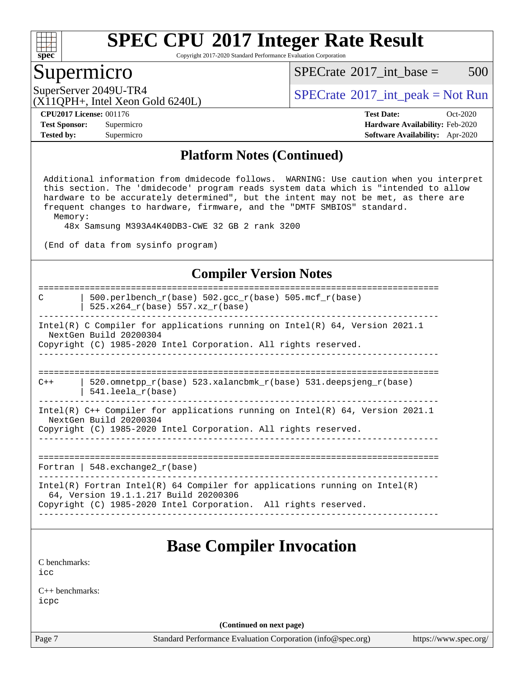

Copyright 2017-2020 Standard Performance Evaluation Corporation

### Supermicro

 $SPECTate^{\circledcirc}2017$  int base = 500

(X11QPH+, Intel Xeon Gold 6240L)

SuperServer 2049U-TR4  $SPECrate^{\circ}2017$  $SPECrate^{\circ}2017$ \_int\_peak = Not Run

**[Tested by:](http://www.spec.org/auto/cpu2017/Docs/result-fields.html#Testedby)** Supermicro **[Software Availability:](http://www.spec.org/auto/cpu2017/Docs/result-fields.html#SoftwareAvailability)** Apr-2020

**[CPU2017 License:](http://www.spec.org/auto/cpu2017/Docs/result-fields.html#CPU2017License)** 001176 **[Test Date:](http://www.spec.org/auto/cpu2017/Docs/result-fields.html#TestDate)** Oct-2020 **[Test Sponsor:](http://www.spec.org/auto/cpu2017/Docs/result-fields.html#TestSponsor)** Supermicro **[Hardware Availability:](http://www.spec.org/auto/cpu2017/Docs/result-fields.html#HardwareAvailability)** Feb-2020

#### **[Platform Notes \(Continued\)](http://www.spec.org/auto/cpu2017/Docs/result-fields.html#PlatformNotes)**

 Additional information from dmidecode follows. WARNING: Use caution when you interpret this section. The 'dmidecode' program reads system data which is "intended to allow hardware to be accurately determined", but the intent may not be met, as there are frequent changes to hardware, firmware, and the "DMTF SMBIOS" standard. Memory:

48x Samsung M393A4K40DB3-CWE 32 GB 2 rank 3200

(End of data from sysinfo program)

#### **[Compiler Version Notes](http://www.spec.org/auto/cpu2017/Docs/result-fields.html#CompilerVersionNotes)**

============================================================================== C  $\vert$  500.perlbench\_r(base) 502.gcc\_r(base) 505.mcf\_r(base) | 525.x264\_r(base) 557.xz\_r(base) ------------------------------------------------------------------------------ Intel(R) C Compiler for applications running on Intel(R) 64, Version 2021.1 NextGen Build 20200304 Copyright (C) 1985-2020 Intel Corporation. All rights reserved. ------------------------------------------------------------------------------ ==============================================================================  $C++$  | 520.omnetpp\_r(base) 523.xalancbmk\_r(base) 531.deepsjeng\_r(base) | 541.leela\_r(base) ------------------------------------------------------------------------------ Intel(R) C++ Compiler for applications running on Intel(R) 64, Version 2021.1 NextGen Build 20200304 Copyright (C) 1985-2020 Intel Corporation. All rights reserved. ------------------------------------------------------------------------------ ============================================================================== Fortran | 548.exchange2\_r(base) ------------------------------------------------------------------------------ Intel(R) Fortran Intel(R) 64 Compiler for applications running on Intel(R) 64, Version 19.1.1.217 Build 20200306 Copyright (C) 1985-2020 Intel Corporation. All rights reserved. ------------------------------------------------------------------------------

# **[Base Compiler Invocation](http://www.spec.org/auto/cpu2017/Docs/result-fields.html#BaseCompilerInvocation)**

[C benchmarks](http://www.spec.org/auto/cpu2017/Docs/result-fields.html#Cbenchmarks):  $i$ cc

[C++ benchmarks:](http://www.spec.org/auto/cpu2017/Docs/result-fields.html#CXXbenchmarks) [icpc](http://www.spec.org/cpu2017/results/res2020q4/cpu2017-20201021-24230.flags.html#user_CXXbase_intel_icpc_c510b6838c7f56d33e37e94d029a35b4a7bccf4766a728ee175e80a419847e808290a9b78be685c44ab727ea267ec2f070ec5dc83b407c0218cded6866a35d07)

**(Continued on next page)**

Page 7 Standard Performance Evaluation Corporation [\(info@spec.org\)](mailto:info@spec.org) <https://www.spec.org/>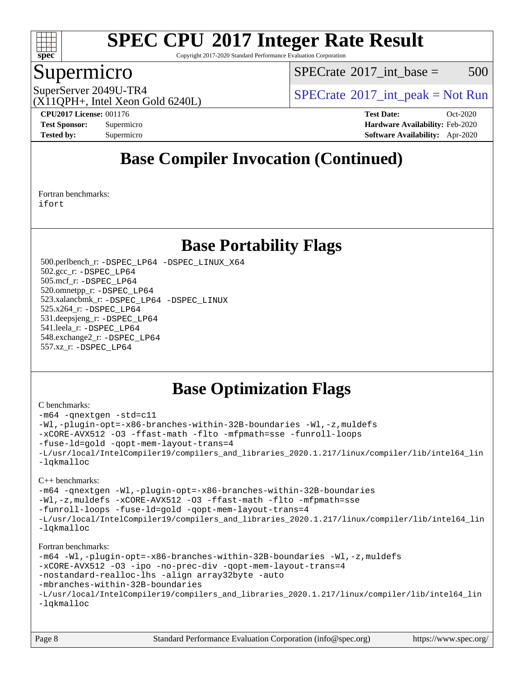

Copyright 2017-2020 Standard Performance Evaluation Corporation

### Supermicro

 $SPECTate^{\circledcirc}2017$  int base = 500

SuperServer 2049U-TR4  $SPECrate^{\circ}2017$  $SPECrate^{\circ}2017$ \_int\_peak = Not Run

(X11QPH+, Intel Xeon Gold 6240L)

**[CPU2017 License:](http://www.spec.org/auto/cpu2017/Docs/result-fields.html#CPU2017License)** 001176 **[Test Date:](http://www.spec.org/auto/cpu2017/Docs/result-fields.html#TestDate)** Oct-2020 **[Test Sponsor:](http://www.spec.org/auto/cpu2017/Docs/result-fields.html#TestSponsor)** Supermicro **[Hardware Availability:](http://www.spec.org/auto/cpu2017/Docs/result-fields.html#HardwareAvailability)** Feb-2020 **[Tested by:](http://www.spec.org/auto/cpu2017/Docs/result-fields.html#Testedby)** Supermicro **[Software Availability:](http://www.spec.org/auto/cpu2017/Docs/result-fields.html#SoftwareAvailability)** Apr-2020

# **[Base Compiler Invocation \(Continued\)](http://www.spec.org/auto/cpu2017/Docs/result-fields.html#BaseCompilerInvocation)**

[Fortran benchmarks](http://www.spec.org/auto/cpu2017/Docs/result-fields.html#Fortranbenchmarks): [ifort](http://www.spec.org/cpu2017/results/res2020q4/cpu2017-20201021-24230.flags.html#user_FCbase_intel_ifort_8111460550e3ca792625aed983ce982f94888b8b503583aa7ba2b8303487b4d8a21a13e7191a45c5fd58ff318f48f9492884d4413fa793fd88dd292cad7027ca)

## **[Base Portability Flags](http://www.spec.org/auto/cpu2017/Docs/result-fields.html#BasePortabilityFlags)**

 500.perlbench\_r: [-DSPEC\\_LP64](http://www.spec.org/cpu2017/results/res2020q4/cpu2017-20201021-24230.flags.html#b500.perlbench_r_basePORTABILITY_DSPEC_LP64) [-DSPEC\\_LINUX\\_X64](http://www.spec.org/cpu2017/results/res2020q4/cpu2017-20201021-24230.flags.html#b500.perlbench_r_baseCPORTABILITY_DSPEC_LINUX_X64) 502.gcc\_r: [-DSPEC\\_LP64](http://www.spec.org/cpu2017/results/res2020q4/cpu2017-20201021-24230.flags.html#suite_basePORTABILITY502_gcc_r_DSPEC_LP64) 505.mcf\_r: [-DSPEC\\_LP64](http://www.spec.org/cpu2017/results/res2020q4/cpu2017-20201021-24230.flags.html#suite_basePORTABILITY505_mcf_r_DSPEC_LP64) 520.omnetpp\_r: [-DSPEC\\_LP64](http://www.spec.org/cpu2017/results/res2020q4/cpu2017-20201021-24230.flags.html#suite_basePORTABILITY520_omnetpp_r_DSPEC_LP64) 523.xalancbmk\_r: [-DSPEC\\_LP64](http://www.spec.org/cpu2017/results/res2020q4/cpu2017-20201021-24230.flags.html#suite_basePORTABILITY523_xalancbmk_r_DSPEC_LP64) [-DSPEC\\_LINUX](http://www.spec.org/cpu2017/results/res2020q4/cpu2017-20201021-24230.flags.html#b523.xalancbmk_r_baseCXXPORTABILITY_DSPEC_LINUX) 525.x264\_r: [-DSPEC\\_LP64](http://www.spec.org/cpu2017/results/res2020q4/cpu2017-20201021-24230.flags.html#suite_basePORTABILITY525_x264_r_DSPEC_LP64) 531.deepsjeng\_r: [-DSPEC\\_LP64](http://www.spec.org/cpu2017/results/res2020q4/cpu2017-20201021-24230.flags.html#suite_basePORTABILITY531_deepsjeng_r_DSPEC_LP64) 541.leela\_r: [-DSPEC\\_LP64](http://www.spec.org/cpu2017/results/res2020q4/cpu2017-20201021-24230.flags.html#suite_basePORTABILITY541_leela_r_DSPEC_LP64) 548.exchange2\_r: [-DSPEC\\_LP64](http://www.spec.org/cpu2017/results/res2020q4/cpu2017-20201021-24230.flags.html#suite_basePORTABILITY548_exchange2_r_DSPEC_LP64) 557.xz\_r: [-DSPEC\\_LP64](http://www.spec.org/cpu2017/results/res2020q4/cpu2017-20201021-24230.flags.html#suite_basePORTABILITY557_xz_r_DSPEC_LP64)

# **[Base Optimization Flags](http://www.spec.org/auto/cpu2017/Docs/result-fields.html#BaseOptimizationFlags)**

#### [C benchmarks](http://www.spec.org/auto/cpu2017/Docs/result-fields.html#Cbenchmarks):

```
-m64 -qnextgen -std=c11
-Wl,-plugin-opt=-x86-branches-within-32B-boundaries -Wl,-z,muldefs
-xCORE-AVX512 -O3 -ffast-math -flto -mfpmath=sse -funroll-loops
-fuse-ld=gold -qopt-mem-layout-trans=4
-L/usr/local/IntelCompiler19/compilers_and_libraries_2020.1.217/linux/compiler/lib/intel64_lin
-lqkmalloc
C++ benchmarks: 
-m64 -qnextgen -Wl,-plugin-opt=-x86-branches-within-32B-boundaries
-Wl,-z,muldefs -xCORE-AVX512 -O3 -ffast-math -flto -mfpmath=sse
-funroll-loops -fuse-ld=gold -qopt-mem-layout-trans=4
-L/usr/local/IntelCompiler19/compilers_and_libraries_2020.1.217/linux/compiler/lib/intel64_lin
-lqkmalloc
Fortran benchmarks: 
-m64 -Wl,-plugin-opt=-x86-branches-within-32B-boundaries -Wl,-z,muldefs
-xCORE-AVX512 -O3 -ipo -no-prec-div -qopt-mem-layout-trans=4
-nostandard-realloc-lhs -align array32byte -auto
-mbranches-within-32B-boundaries
-L/usr/local/IntelCompiler19/compilers_and_libraries_2020.1.217/linux/compiler/lib/intel64_lin
-lqkmalloc
```